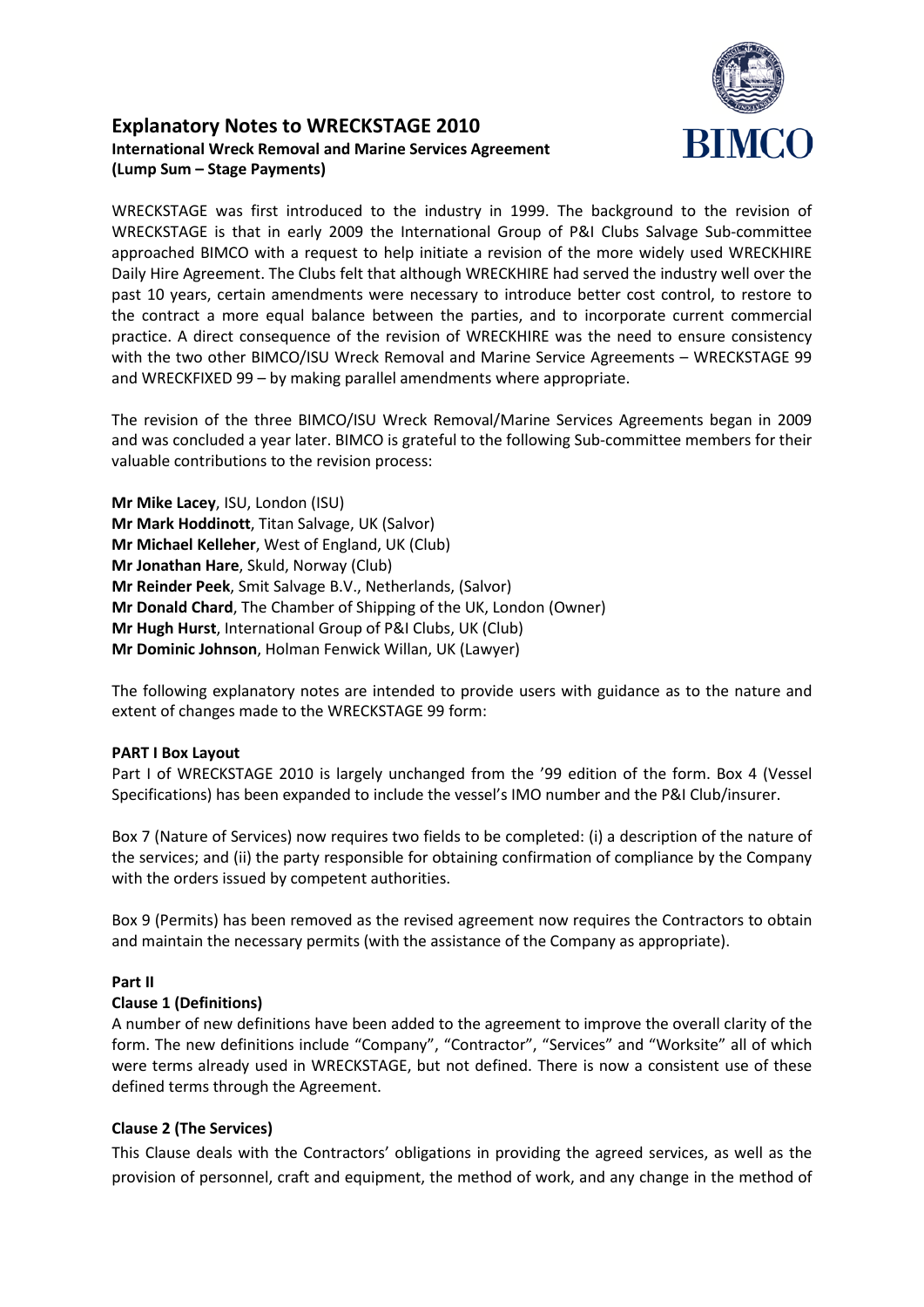

# **Explanatory Notes to WRECKSTAGE 2010 International Wreck Removal and Marine Services Agreement (Lump Sum – Stage Payments)**

WRECKSTAGE was first introduced to the industry in 1999. The background to the revision of WRECKSTAGE is that in early 2009 the International Group of P&I Clubs Salvage Sub-committee approached BIMCO with a request to help initiate a revision of the more widely used WRECKHIRE Daily Hire Agreement. The Clubs felt that although WRECKHIRE had served the industry well over the past 10 years, certain amendments were necessary to introduce better cost control, to restore to the contract a more equal balance between the parties, and to incorporate current commercial practice. A direct consequence of the revision of WRECKHIRE was the need to ensure consistency with the two other BIMCO/ISU Wreck Removal and Marine Service Agreements – WRECKSTAGE 99 and WRECKFIXED 99 – by making parallel amendments where appropriate.

The revision of the three BIMCO/ISU Wreck Removal/Marine Services Agreements began in 2009 and was concluded a year later. BIMCO is grateful to the following Sub-committee members for their valuable contributions to the revision process:

**Mr Mike Lacey**, ISU, London (ISU) **Mr Mark Hoddinott**, Titan Salvage, UK (Salvor) **Mr Michael Kelleher**, West of England, UK (Club) **Mr Jonathan Hare**, Skuld, Norway (Club) **Mr Reinder Peek**, Smit Salvage B.V., Netherlands, (Salvor) **Mr Donald Chard**, The Chamber of Shipping of the UK, London (Owner) **Mr Hugh Hurst**, International Group of P&I Clubs, UK (Club) **Mr Dominic Johnson**, Holman Fenwick Willan, UK (Lawyer)

The following explanatory notes are intended to provide users with guidance as to the nature and extent of changes made to the WRECKSTAGE 99 form:

#### **PART I Box Layout**

Part I of WRECKSTAGE 2010 is largely unchanged from the '99 edition of the form. Box 4 (Vessel Specifications) has been expanded to include the vessel's IMO number and the P&I Club/insurer.

Box 7 (Nature of Services) now requires two fields to be completed: (i) a description of the nature of the services; and (ii) the party responsible for obtaining confirmation of compliance by the Company with the orders issued by competent authorities.

Box 9 (Permits) has been removed as the revised agreement now requires the Contractors to obtain and maintain the necessary permits (with the assistance of the Company as appropriate).

## **Part II**

#### **Clause 1 (Definitions)**

A number of new definitions have been added to the agreement to improve the overall clarity of the form. The new definitions include "Company", "Contractor", "Services" and "Worksite" all of which were terms already used in WRECKSTAGE, but not defined. There is now a consistent use of these defined terms through the Agreement.

## **Clause 2 (The Services)**

This Clause deals with the Contractors' obligations in providing the agreed services, as well as the provision of personnel, craft and equipment, the method of work, and any change in the method of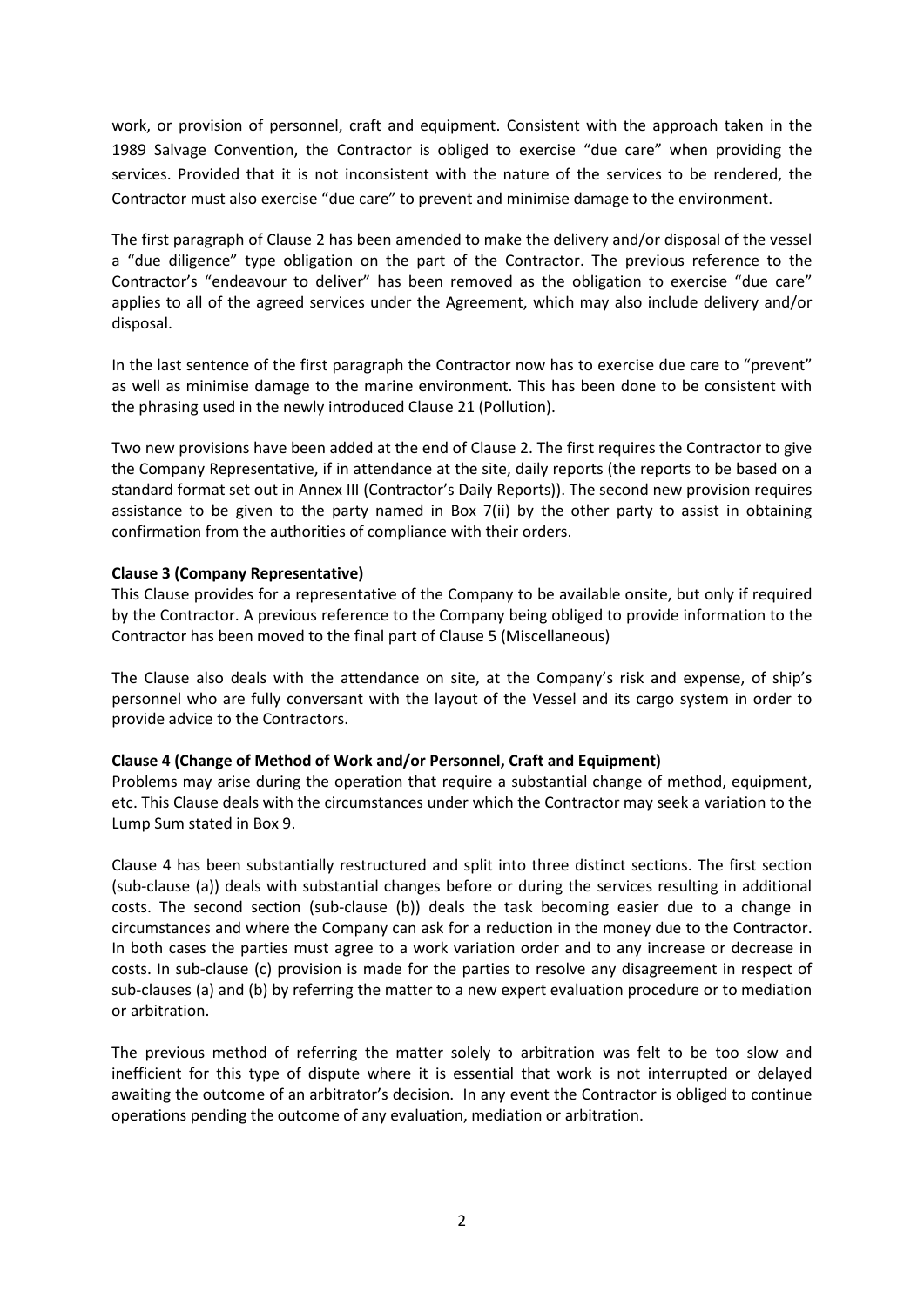work, or provision of personnel, craft and equipment. Consistent with the approach taken in the 1989 Salvage Convention, the Contractor is obliged to exercise "due care" when providing the services. Provided that it is not inconsistent with the nature of the services to be rendered, the Contractor must also exercise "due care" to prevent and minimise damage to the environment.

The first paragraph of Clause 2 has been amended to make the delivery and/or disposal of the vessel a "due diligence" type obligation on the part of the Contractor. The previous reference to the Contractor's "endeavour to deliver" has been removed as the obligation to exercise "due care" applies to all of the agreed services under the Agreement, which may also include delivery and/or disposal.

In the last sentence of the first paragraph the Contractor now has to exercise due care to "prevent" as well as minimise damage to the marine environment. This has been done to be consistent with the phrasing used in the newly introduced Clause 21 (Pollution).

Two new provisions have been added at the end of Clause 2. The first requires the Contractor to give the Company Representative, if in attendance at the site, daily reports (the reports to be based on a standard format set out in Annex III (Contractor's Daily Reports)). The second new provision requires assistance to be given to the party named in Box 7(ii) by the other party to assist in obtaining confirmation from the authorities of compliance with their orders.

### **Clause 3 (Company Representative)**

This Clause provides for a representative of the Company to be available onsite, but only if required by the Contractor. A previous reference to the Company being obliged to provide information to the Contractor has been moved to the final part of Clause 5 (Miscellaneous)

The Clause also deals with the attendance on site, at the Company's risk and expense, of ship's personnel who are fully conversant with the layout of the Vessel and its cargo system in order to provide advice to the Contractors.

#### **Clause 4 (Change of Method of Work and/or Personnel, Craft and Equipment)**

Problems may arise during the operation that require a substantial change of method, equipment, etc. This Clause deals with the circumstances under which the Contractor may seek a variation to the Lump Sum stated in Box 9.

Clause 4 has been substantially restructured and split into three distinct sections. The first section (sub-clause (a)) deals with substantial changes before or during the services resulting in additional costs. The second section (sub-clause (b)) deals the task becoming easier due to a change in circumstances and where the Company can ask for a reduction in the money due to the Contractor. In both cases the parties must agree to a work variation order and to any increase or decrease in costs. In sub-clause (c) provision is made for the parties to resolve any disagreement in respect of sub-clauses (a) and (b) by referring the matter to a new expert evaluation procedure or to mediation or arbitration.

The previous method of referring the matter solely to arbitration was felt to be too slow and inefficient for this type of dispute where it is essential that work is not interrupted or delayed awaiting the outcome of an arbitrator's decision. In any event the Contractor is obliged to continue operations pending the outcome of any evaluation, mediation or arbitration.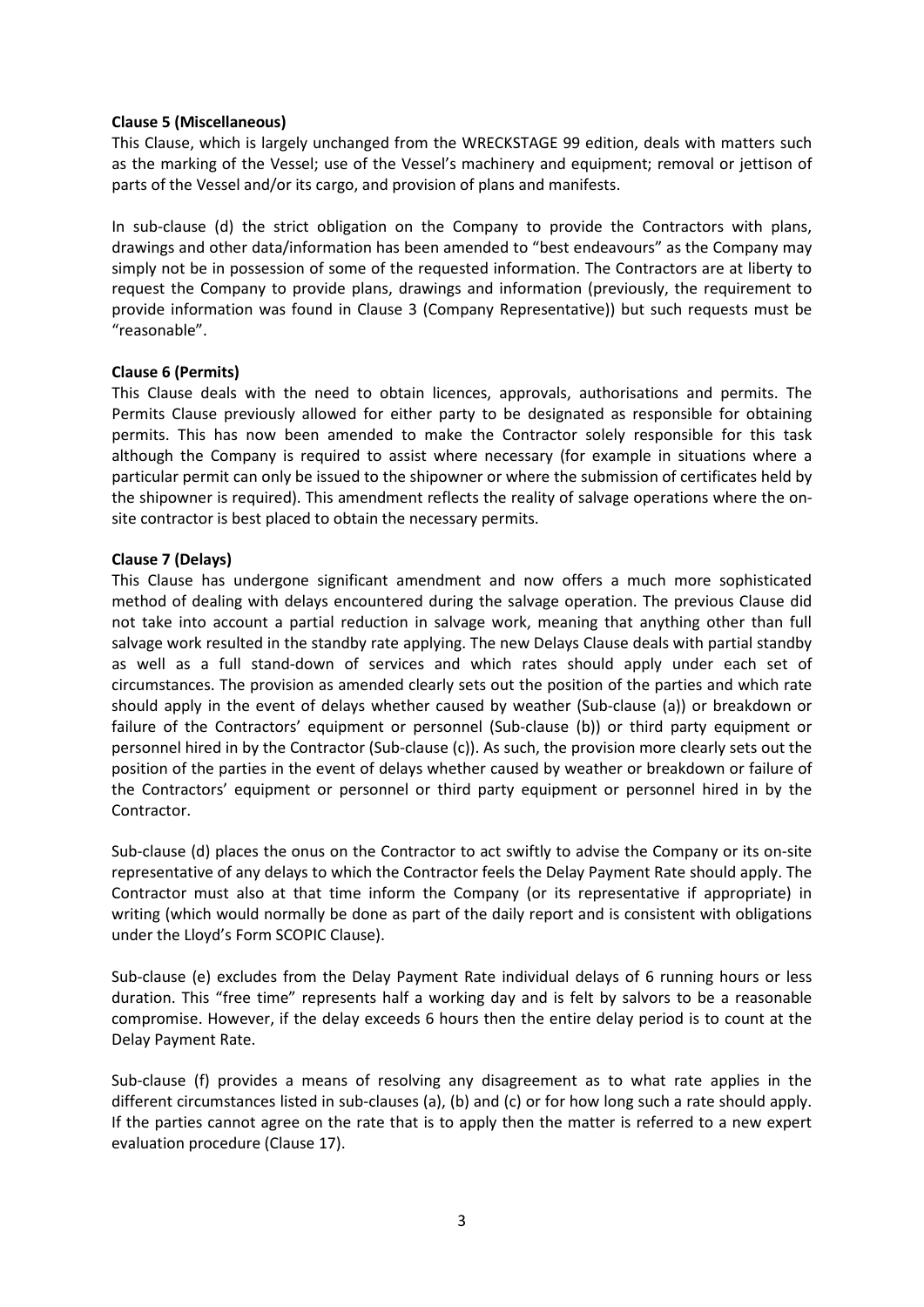#### **Clause 5 (Miscellaneous)**

This Clause, which is largely unchanged from the WRECKSTAGE 99 edition, deals with matters such as the marking of the Vessel; use of the Vessel's machinery and equipment; removal or jettison of parts of the Vessel and/or its cargo, and provision of plans and manifests.

In sub-clause (d) the strict obligation on the Company to provide the Contractors with plans, drawings and other data/information has been amended to "best endeavours" as the Company may simply not be in possession of some of the requested information. The Contractors are at liberty to request the Company to provide plans, drawings and information (previously, the requirement to provide information was found in Clause 3 (Company Representative)) but such requests must be "reasonable".

### **Clause 6 (Permits)**

This Clause deals with the need to obtain licences, approvals, authorisations and permits. The Permits Clause previously allowed for either party to be designated as responsible for obtaining permits. This has now been amended to make the Contractor solely responsible for this task although the Company is required to assist where necessary (for example in situations where a particular permit can only be issued to the shipowner or where the submission of certificates held by the shipowner is required). This amendment reflects the reality of salvage operations where the onsite contractor is best placed to obtain the necessary permits.

### **Clause 7 (Delays)**

This Clause has undergone significant amendment and now offers a much more sophisticated method of dealing with delays encountered during the salvage operation. The previous Clause did not take into account a partial reduction in salvage work, meaning that anything other than full salvage work resulted in the standby rate applying. The new Delays Clause deals with partial standby as well as a full stand-down of services and which rates should apply under each set of circumstances. The provision as amended clearly sets out the position of the parties and which rate should apply in the event of delays whether caused by weather (Sub-clause (a)) or breakdown or failure of the Contractors' equipment or personnel (Sub-clause (b)) or third party equipment or personnel hired in by the Contractor (Sub-clause (c)). As such, the provision more clearly sets out the position of the parties in the event of delays whether caused by weather or breakdown or failure of the Contractors' equipment or personnel or third party equipment or personnel hired in by the Contractor.

Sub-clause (d) places the onus on the Contractor to act swiftly to advise the Company or its on-site representative of any delays to which the Contractor feels the Delay Payment Rate should apply. The Contractor must also at that time inform the Company (or its representative if appropriate) in writing (which would normally be done as part of the daily report and is consistent with obligations under the Lloyd's Form SCOPIC Clause).

Sub-clause (e) excludes from the Delay Payment Rate individual delays of 6 running hours or less duration. This "free time" represents half a working day and is felt by salvors to be a reasonable compromise. However, if the delay exceeds 6 hours then the entire delay period is to count at the Delay Payment Rate.

Sub-clause (f) provides a means of resolving any disagreement as to what rate applies in the different circumstances listed in sub-clauses (a), (b) and (c) or for how long such a rate should apply. If the parties cannot agree on the rate that is to apply then the matter is referred to a new expert evaluation procedure (Clause 17).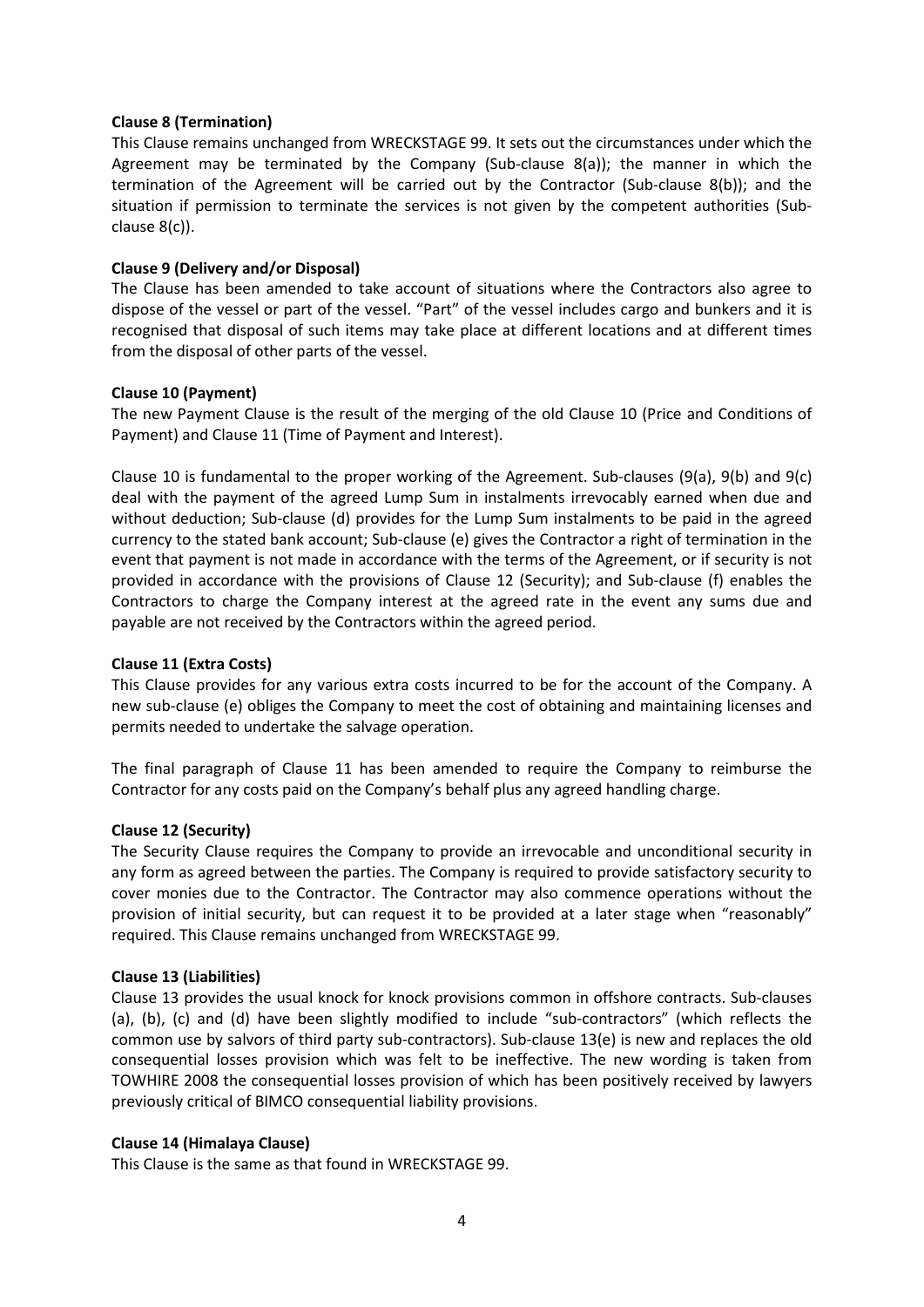#### **Clause 8 (Termination)**

This Clause remains unchanged from WRECKSTAGE 99. It sets out the circumstances under which the Agreement may be terminated by the Company (Sub-clause 8(a)); the manner in which the termination of the Agreement will be carried out by the Contractor (Sub-clause 8(b)); and the situation if permission to terminate the services is not given by the competent authorities (Subclause 8(c)).

### **Clause 9 (Delivery and/or Disposal)**

The Clause has been amended to take account of situations where the Contractors also agree to dispose of the vessel or part of the vessel. "Part" of the vessel includes cargo and bunkers and it is recognised that disposal of such items may take place at different locations and at different times from the disposal of other parts of the vessel.

### **Clause 10 (Payment)**

The new Payment Clause is the result of the merging of the old Clause 10 (Price and Conditions of Payment) and Clause 11 (Time of Payment and Interest).

Clause 10 is fundamental to the proper working of the Agreement. Sub-clauses (9(a), 9(b) and 9(c) deal with the payment of the agreed Lump Sum in instalments irrevocably earned when due and without deduction; Sub-clause (d) provides for the Lump Sum instalments to be paid in the agreed currency to the stated bank account; Sub-clause (e) gives the Contractor a right of termination in the event that payment is not made in accordance with the terms of the Agreement, or if security is not provided in accordance with the provisions of Clause 12 (Security); and Sub-clause (f) enables the Contractors to charge the Company interest at the agreed rate in the event any sums due and payable are not received by the Contractors within the agreed period.

## **Clause 11 (Extra Costs)**

This Clause provides for any various extra costs incurred to be for the account of the Company. A new sub-clause (e) obliges the Company to meet the cost of obtaining and maintaining licenses and permits needed to undertake the salvage operation.

The final paragraph of Clause 11 has been amended to require the Company to reimburse the Contractor for any costs paid on the Company's behalf plus any agreed handling charge.

#### **Clause 12 (Security)**

The Security Clause requires the Company to provide an irrevocable and unconditional security in any form as agreed between the parties. The Company is required to provide satisfactory security to cover monies due to the Contractor. The Contractor may also commence operations without the provision of initial security, but can request it to be provided at a later stage when "reasonably" required. This Clause remains unchanged from WRECKSTAGE 99.

#### **Clause 13 (Liabilities)**

Clause 13 provides the usual knock for knock provisions common in offshore contracts. Sub-clauses (a), (b), (c) and (d) have been slightly modified to include "sub-contractors" (which reflects the common use by salvors of third party sub-contractors). Sub-clause 13(e) is new and replaces the old consequential losses provision which was felt to be ineffective. The new wording is taken from TOWHIRE 2008 the consequential losses provision of which has been positively received by lawyers previously critical of BIMCO consequential liability provisions.

#### **Clause 14 (Himalaya Clause)**

This Clause is the same as that found in WRECKSTAGE 99.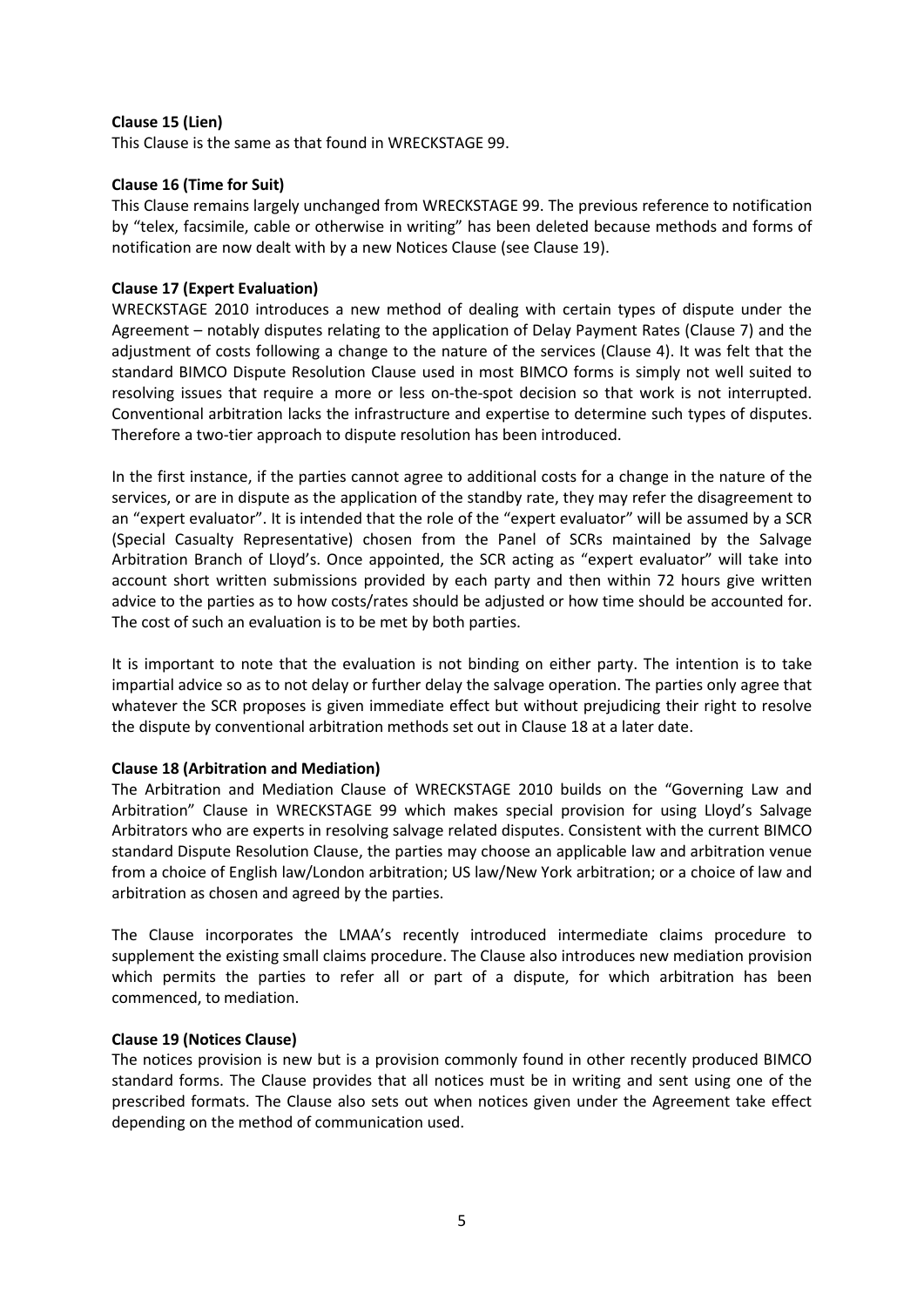### **Clause 15 (Lien)**

This Clause is the same as that found in WRECKSTAGE 99.

#### **Clause 16 (Time for Suit)**

This Clause remains largely unchanged from WRECKSTAGE 99. The previous reference to notification by "telex, facsimile, cable or otherwise in writing" has been deleted because methods and forms of notification are now dealt with by a new Notices Clause (see Clause 19).

### **Clause 17 (Expert Evaluation)**

WRECKSTAGE 2010 introduces a new method of dealing with certain types of dispute under the Agreement – notably disputes relating to the application of Delay Payment Rates (Clause 7) and the adjustment of costs following a change to the nature of the services (Clause 4). It was felt that the standard BIMCO Dispute Resolution Clause used in most BIMCO forms is simply not well suited to resolving issues that require a more or less on-the-spot decision so that work is not interrupted. Conventional arbitration lacks the infrastructure and expertise to determine such types of disputes. Therefore a two-tier approach to dispute resolution has been introduced.

In the first instance, if the parties cannot agree to additional costs for a change in the nature of the services, or are in dispute as the application of the standby rate, they may refer the disagreement to an "expert evaluator". It is intended that the role of the "expert evaluator" will be assumed by a SCR (Special Casualty Representative) chosen from the Panel of SCRs maintained by the Salvage Arbitration Branch of Lloyd's. Once appointed, the SCR acting as "expert evaluator" will take into account short written submissions provided by each party and then within 72 hours give written advice to the parties as to how costs/rates should be adjusted or how time should be accounted for. The cost of such an evaluation is to be met by both parties.

It is important to note that the evaluation is not binding on either party. The intention is to take impartial advice so as to not delay or further delay the salvage operation. The parties only agree that whatever the SCR proposes is given immediate effect but without prejudicing their right to resolve the dispute by conventional arbitration methods set out in Clause 18 at a later date.

#### **Clause 18 (Arbitration and Mediation)**

The Arbitration and Mediation Clause of WRECKSTAGE 2010 builds on the "Governing Law and Arbitration" Clause in WRECKSTAGE 99 which makes special provision for using Lloyd's Salvage Arbitrators who are experts in resolving salvage related disputes. Consistent with the current BIMCO standard Dispute Resolution Clause, the parties may choose an applicable law and arbitration venue from a choice of English law/London arbitration; US law/New York arbitration; or a choice of law and arbitration as chosen and agreed by the parties.

The Clause incorporates the LMAA's recently introduced intermediate claims procedure to supplement the existing small claims procedure. The Clause also introduces new mediation provision which permits the parties to refer all or part of a dispute, for which arbitration has been commenced, to mediation.

#### **Clause 19 (Notices Clause)**

The notices provision is new but is a provision commonly found in other recently produced BIMCO standard forms. The Clause provides that all notices must be in writing and sent using one of the prescribed formats. The Clause also sets out when notices given under the Agreement take effect depending on the method of communication used.